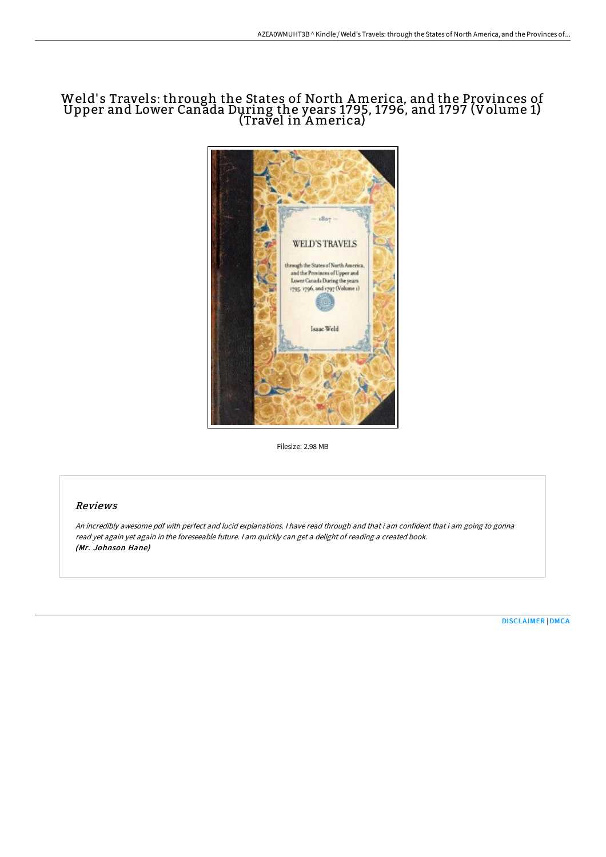# Weld' s Travels: through the States of North America, and the Provinces of Upper and Lower Canada During the years 1795, 1796, and 1797 (Volume 1) (Travel in America)



Filesize: 2.98 MB

### Reviews

An incredibly awesome pdf with perfect and lucid explanations. <sup>I</sup> have read through and that i am confident that i am going to gonna read yet again yet again in the foreseeable future. <sup>I</sup> am quickly can get <sup>a</sup> delight of reading <sup>a</sup> created book. (Mr. Johnson Hane)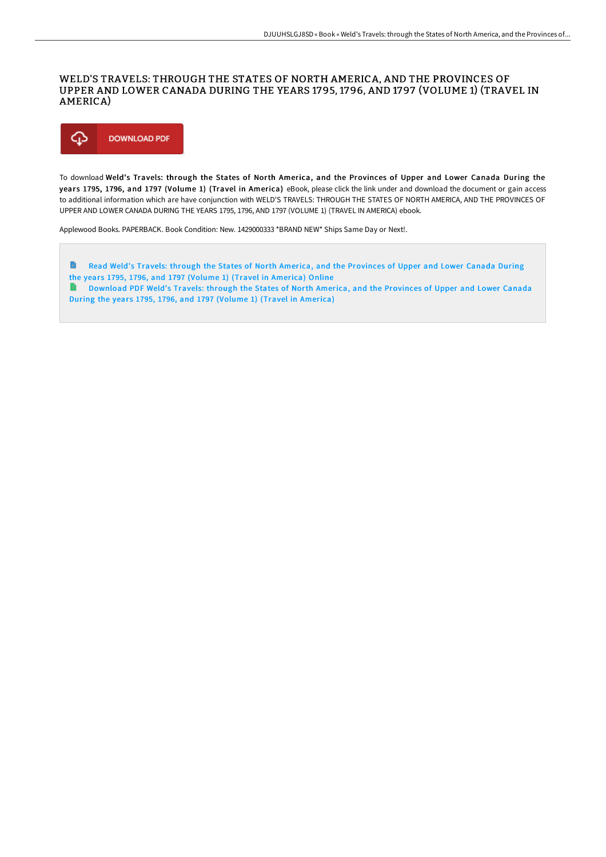### WELD'S TRAVELS: THROUGH THE STATES OF NORTH AMERICA, AND THE PROVINCES OF UPPER AND LOWER CANADA DURING THE YEARS 1795, 1796, AND 1797 (VOLUME 1) (TRAVEL IN AMERICA)



To download Weld's Travels: through the States of North America, and the Provinces of Upper and Lower Canada During the years 1795, 1796, and 1797 (Volume 1) (Travel in America) eBook, please click the link under and download the document or gain access to additional information which are have conjunction with WELD'S TRAVELS: THROUGH THE STATES OF NORTH AMERICA, AND THE PROVINCES OF UPPER AND LOWER CANADA DURING THE YEARS 1795, 1796, AND 1797 (VOLUME 1) (TRAVEL IN AMERICA) ebook.

Applewood Books. PAPERBACK. Book Condition: New. 1429000333 \*BRAND NEW\* Ships Same Day or Next!.

G Read Weld's Travels: through the States of North America, and the [Provinces](http://techno-pub.tech/weld-x27-s-travels-through-the-states-of-north-a.html) of Upper and Lower Canada During the years 1795, 1796, and 1797 (Volume 1) (Travel in America) Online e. [Download](http://techno-pub.tech/weld-x27-s-travels-through-the-states-of-north-a.html) PDF Weld's Travels: through the States of North America, and the Provinces of Upper and Lower Canada During the years 1795, 1796, and 1797 (Volume 1) (Travel in America)